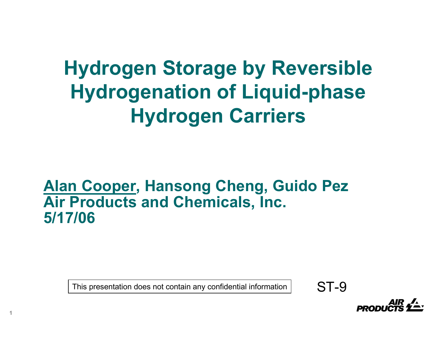**Hydrogen Storage by Reversible Hydrogenation of Liquid-phase Hydrogen Carriers**

#### **Alan Cooper, Hansong Cheng, Guido Pez Air Products and Chemicals, Inc. 5/17/06**

This presentation does not contain any confidential information  $\vert$  ST-9

**1**

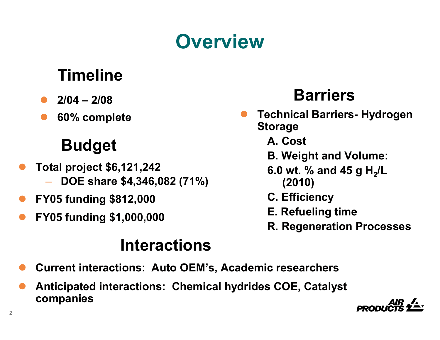# **Overview**

## **Timeline**

- $\bullet$ **2/04 – 2/08**
- $\bullet$

## **Budget**

- $\bullet$  **Total project \$6,121,242**
	- **DOE share \$4,346,082 (71%)**
- $\bullet$ **FY05 funding \$812,000**
- $\bullet$ **FY05 funding \$1,000,000**

## **Barriers**

- **60% complete**<br> **60% complete**<br> **EXECUTE:**<br> **COMPLE CONTENT CONTENT Storage<br>
<b>Storage** 
	- **A. Cost**
	- **B. Weight and Volume:**
	- **6.0 wt. % and 45 g H<sub>2</sub>/L (2010)**
	- **C. Efficiency**
	- **E. Refueling time**
	- **R. Regeneration Processes**

#### **Interactions**

- $\bullet$ **Current interactions: Auto OEM's, Academic researchers**
- $\bullet$  **Anticipated interactions: Chemical hydrides COE, Catalyst companies**

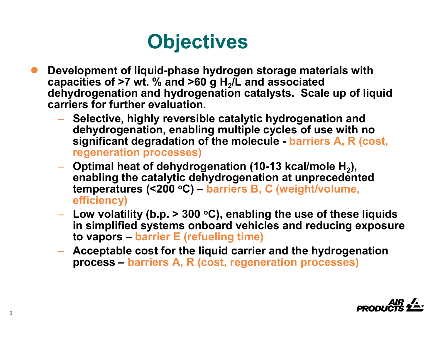# **Objectives**

- $\bullet$  **Development of liquid-phase hydrogen storage materials with**  capacities of >7 wt. % and >60 g H<sub>2</sub>/L and associated **dehydrogenation and hydrogenation catalysts. Scale up of liquid carriers for further evaluation.**
	- **Selective, highly reversible catalytic hydrogenation and dehydrogenation, enabling multiple cycles of use with no significant degradation of the molecule - barriers A, R (cost, regeneration processes)**
	- Optimal heat of dehydrogenation (10-13 kcal/mole H<sub>2</sub>), **enabling the catalytic dehydrogenation at unprecedented temperatures (<200 oC) – barriers B, C (weight/volume, efficiency)**
	- $-$  Low volatility (b.p. > 300 °C), enabling the use of these liquids **in simplified systems onboard vehicles and reducing exposure to vapors – barrier E (refueling time)**
	- **Acceptable cost for the liquid carrier and the hydrogenation process – barriers A, R (cost, regeneration processes)**

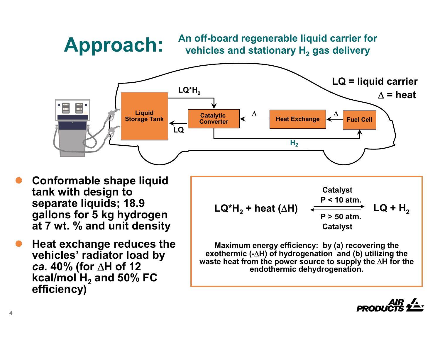**An off-board regenerable liquid carrier for vehicles and stationary H2 gas delivery**



 $\bullet$  **Conformable shape liquid tank with design to separate liquids; 18.9 gallons for 5 kg hydrogen at 7 wt. % and unit density**

**Approach:**

 $\bullet$  **Heat exchange reduces the vehicles' radiator load by**  *ca.* **40% (for** Δ**H of 12**  kcal/mol  $\mathsf{H}_2$  and 50% FC **efficiency)**



**Maximum energy efficiency: by (a) recovering the exothermic (-**Δ**H) of hydrogenation and (b) utilizing the waste heat from the power source to supply the** Δ**H for the endothermic dehydrogenation.**

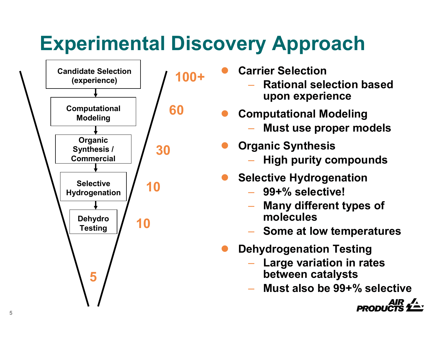# **Experimental Discovery Approach**



- $\bullet$  **Carrier Selection**
	- **Rational selection based upon experience**
- $\bullet$  **Computational Modeling**
	- **Must use proper models**
- $\bullet$  **Organic Synthesis**
	- **High purity compounds**
- $\bullet$  **Selective Hydrogenation**
	- **99+% selective!**
	- **Many different types of molecules**
	- **Some at low temperatures**
- $\bullet$  **Dehydrogenation Testing**
	- **Large variation in rates between catalysts**
	- **Must also be 99+% selective**

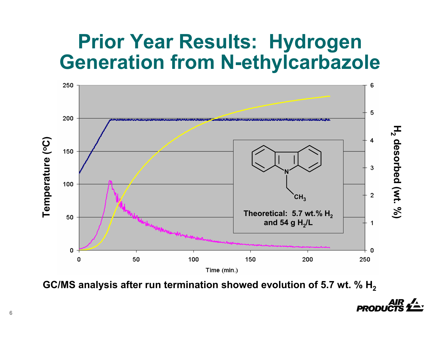## **Prior Year Results: Hydrogen Generation from N-ethylcarbazole**



**GC/MS analysis after run termination showed evolution of 5.7 wt. % H2**

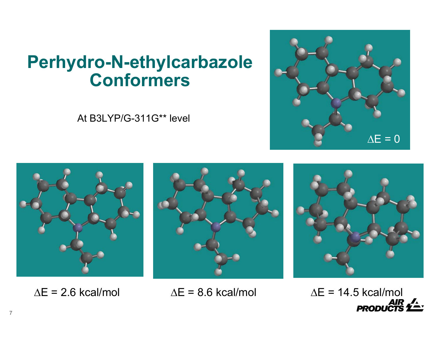## **Perhydro-N-ethylcarbazole Conformers**

At B3LYP/G-311G\*\* level









 $\Delta E = 2.6$  kcal/mol



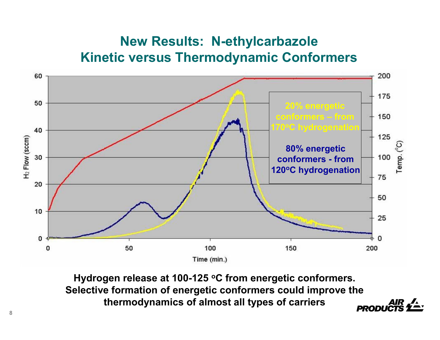#### **New Results: N-ethylcarbazole Kinetic versus Thermodynamic Conformers**



**Hydrogen release at 100-125 oC from energetic conformers. Selective formation of energetic conformers could improve the thermodynamics of almost all types of carriers PROD**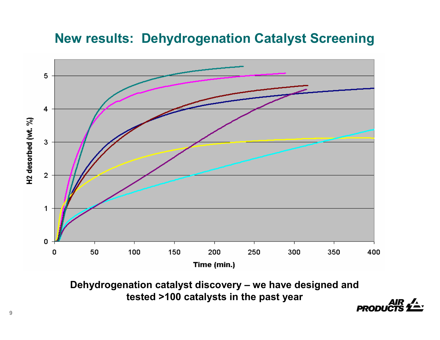#### **New results: Dehydrogenation Catalyst Screening**



**Dehydrogenation catalyst discovery – we have designed and tested >100 catalysts in the past year**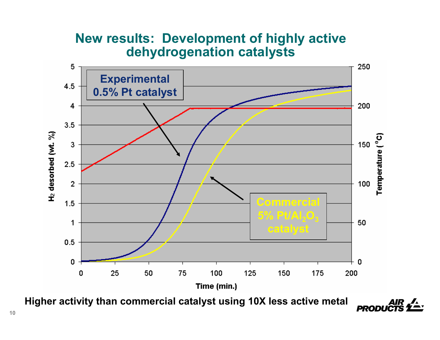#### **New results: Development of highly active dehydrogenation catalysts**



**PRODU** 

**Higher activity than commercial catalyst using 10X less active metal**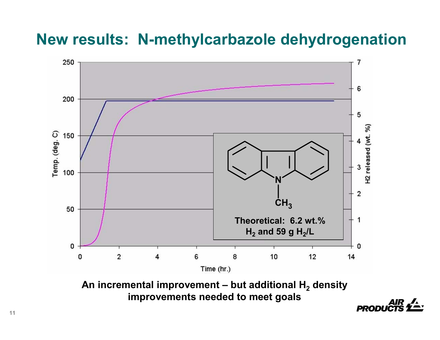#### **New results: N-methylcarbazole dehydrogenation**



**improvements needed to meet goals**

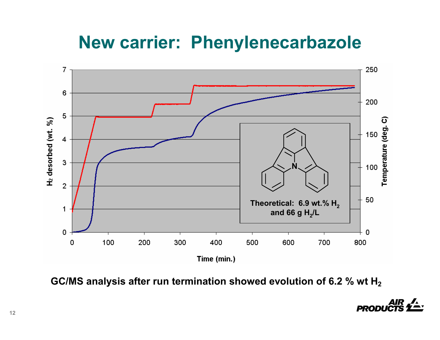## **New carrier: Phenylenecarbazole**



**GC/MS analysis after run termination showed evolution of 6.2 % wt H2**

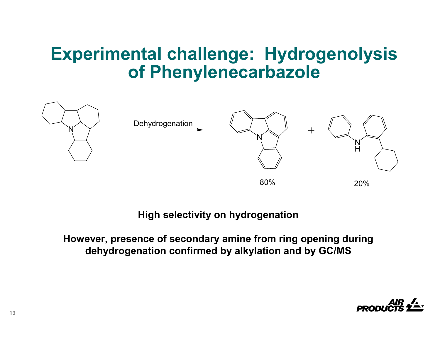## **Experimental challenge: Hydrogenolysis of Phenylenecarbazole**



#### **High selectivity on hydrogenation**

#### **However, presence of secondary amine from ring opening during dehydrogenation confirmed by alkylation and by GC/MS**

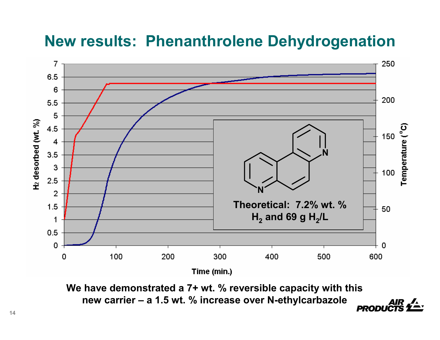#### **New results: Phenanthrolene Dehydrogenation**



**We have demonstrated a 7+ wt. % reversible capacity with this new carrier – a 1.5 wt. % increase over N-ethylcarbazolePROD**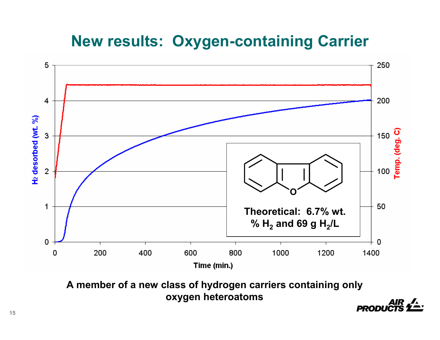#### **New results: Oxygen-containing Carrier**



**A member of a new class of hydrogen carriers containing only oxygen heteroatoms**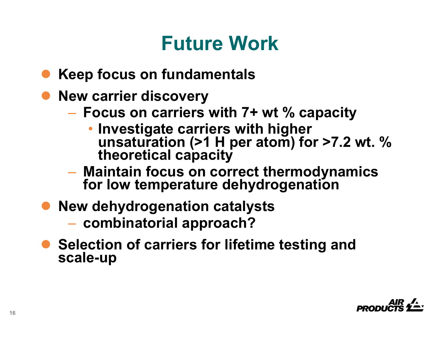# **Future Work**

- $\bullet$ **Keep focus on fundamentals**
- **New carrier discovery** 
	- **Focus on carriers with 7+ wt % capacity**
		- Investigate carriers with higher **Investigation (>1 H per atom) for >7.2 wt. % theoretical capacity**
	- **Maintain focus on correct thermodynamics for low temperature dehydrogenation**
- $\bullet$  **New dehydrogenation catalysts**
	- **combinatorial approach?**
- **Selection of carriers for lifetime testing and scale-up**

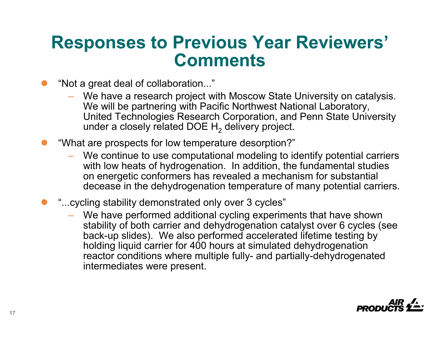## **Responses to Previous Year Reviewers' Comments**

- $\bullet$  "Not a great deal of collaboration..."
	- We have a research project with Moscow State University on catalysis. We will be partnering with Pacific Northwest National Laboratory, United Technologies Research Corporation, and Penn State University under a closely related DOE  ${\sf H_2}$  delivery project.
- $\bullet$  "What are prospects for low temperature desorption?"
	- We continue to use computational modeling to identify potential carriers with low heats of hydrogenation. In addition, the fundamental studies on energetic conformers has revealed a mechanism for substantial decease in the dehydrogenation temperature of many potential carriers.
- $\bullet$  "...cycling stability demonstrated only over 3 cycles"
	- We have performed additional cycling experiments that have shown stability of both carrier and dehydrogenation catalyst over 6 cycles (see back-up slides). We also performed accelerated lifetime testing by holding liquid carrier for 400 hours at simulated dehydrogenation reactor conditions where multiple fully- and partially-dehydrogenated intermediates were present.

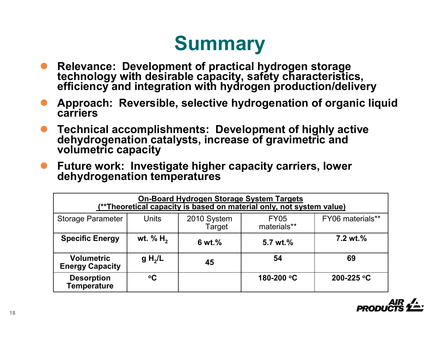## **Summary**

- $\bullet$ **Relevance: Development of practical hydrogen storage technology with desirable capacity, safety characteristics, efficiency and integration with hydrogen production/delivery**
- $\bullet$ **Approach: Reversible, selective hydrogenation of organic liquid carriers**
- $\bullet$ **Technical accomplishments: Development of highly active dehydrogenation catalysts, increase of gravimetric and volumetric capacity**
- $\bullet$ **Future work: Investigate higher capacity carriers, lower dehydrogenation temperatures**

| <b>On-Board Hydrogen Storage System Targets</b><br>(**Theoretical capacity is based on material only, not system value) |                     |                       |                            |                     |
|-------------------------------------------------------------------------------------------------------------------------|---------------------|-----------------------|----------------------------|---------------------|
| <b>Storage Parameter</b>                                                                                                | <b>Units</b>        | 2010 System<br>Target | <b>FY05</b><br>materials** | FY06 materials**    |
| <b>Specific Energy</b>                                                                                                  | wt. % $H_2$         | 6 wt.%                | 5.7 wt.%                   | $7.2 \text{ wt.} %$ |
| <b>Volumetric</b><br><b>Energy Capacity</b>                                                                             | g H <sub>2</sub> /L | 45                    | 54                         | 69                  |
| <b>Desorption</b><br><b>Temperature</b>                                                                                 | $\rm ^oC$           |                       | 180-200 °C                 | 200-225 °C          |

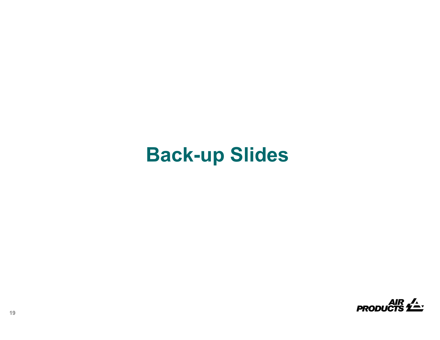## **Back-up Slides**

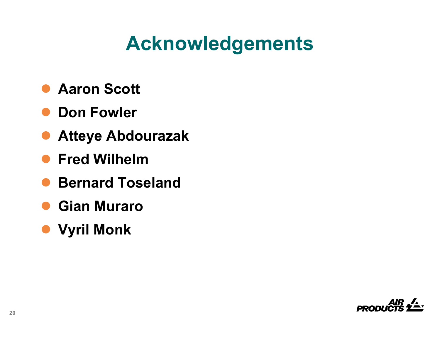# **Acknowledgements**

- $\bullet$ **Aaron Scott**
- $\bullet$ **Don Fowler**
- $\bullet$ **Atteye Abdourazak**
- $\bullet$ **Fred Wilhelm**
- $\bullet$ **Bernard Toseland**
- $\bullet$ **Gian Muraro**
- z **Vyril Monk**

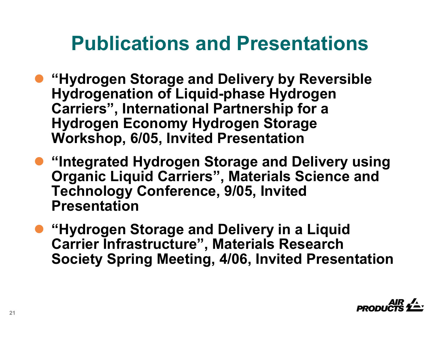## **Publications and Presentations**

- **"Hydrogen Storage and Delivery by Reversible Hydrogenation of Liquid-phase Hydrogen Carriers", International Partnership for a Hydrogen Economy Hydrogen Storage Workshop, 6/05, Invited Presentation**
- **"Integrated Hydrogen Storage and Delivery using Organic Liquid Carriers", Materials Science and Technology Conference, 9/05, Invited Presentation**
- **"Hydrogen Storage and Delivery in a Liquid Carrier Infrastructure", Materials Research Society Spring Meeting, 4/06, Invited Presentation**

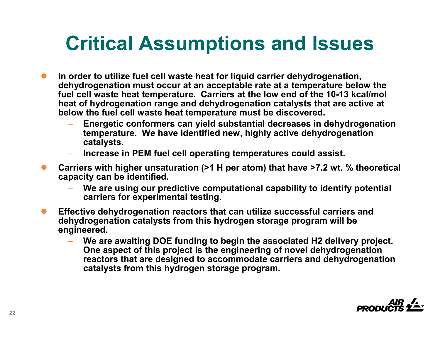# **Critical Assumptions and Issues**

- $\bullet$  **In order to utilize fuel cell waste heat for liquid carrier dehydrogenation, dehydrogenation must occur at an acceptable rate at a temperature below the fuel cell waste heat temperature. Carriers at the low end of the 10-13 kcal/mol heat of hydrogenation range and dehydrogenation catalysts that are active at below the fuel cell waste heat temperature must be discovered.**
	- **Energetic conformers can yield substantial decreases in dehydrogenation temperature. We have identified new, highly active dehydrogenation catalysts.**
	- **Increase in PEM fuel cell operating temperatures could assist.**
- $\bullet$  **Carriers with higher unsaturation (>1 H per atom) that have >7.2 wt. % theoretical capacity can be identified.**
	- **We are using our predictive computational capability to identify potential carriers for experimental testing.**
- $\bullet$  **Effective dehydrogenation reactors that can utilize successful carriers and dehydrogenation catalysts from this hydrogen storage program will be engineered.**
	- **We are awaiting DOE funding to begin the associated H2 delivery project. One aspect of this project is the engineering of novel dehydrogenation reactors that are designed to accommodate carriers and dehydrogenation catalysts from this hydrogen storage program.**